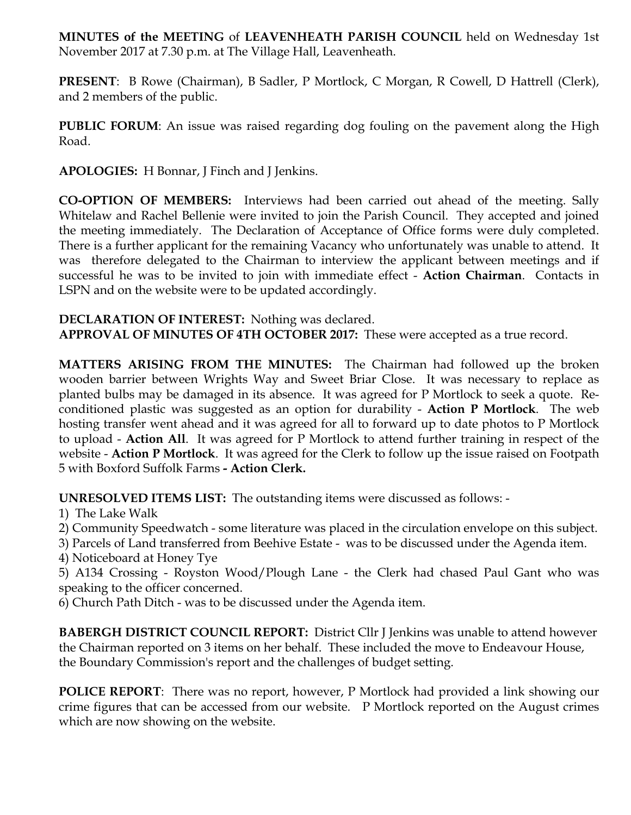**MINUTES of the MEETING** of **LEAVENHEATH PARISH COUNCIL** held on Wednesday 1st November 2017 at 7.30 p.m. at The Village Hall, Leavenheath.

**PRESENT**: B Rowe (Chairman), B Sadler, P Mortlock, C Morgan, R Cowell, D Hattrell (Clerk), and 2 members of the public.

**PUBLIC FORUM:** An issue was raised regarding dog fouling on the pavement along the High Road.

**APOLOGIES:** H Bonnar, J Finch and J Jenkins.

**CO-OPTION OF MEMBERS:** Interviews had been carried out ahead of the meeting. Sally Whitelaw and Rachel Bellenie were invited to join the Parish Council. They accepted and joined the meeting immediately. The Declaration of Acceptance of Office forms were duly completed. There is a further applicant for the remaining Vacancy who unfortunately was unable to attend. It was therefore delegated to the Chairman to interview the applicant between meetings and if successful he was to be invited to join with immediate effect - **Action Chairman**. Contacts in LSPN and on the website were to be updated accordingly.

**DECLARATION OF INTEREST:** Nothing was declared. **APPROVAL OF MINUTES OF 4TH OCTOBER 2017:** These were accepted as a true record.

**MATTERS ARISING FROM THE MINUTES:** The Chairman had followed up the broken wooden barrier between Wrights Way and Sweet Briar Close. It was necessary to replace as planted bulbs may be damaged in its absence. It was agreed for P Mortlock to seek a quote. Reconditioned plastic was suggested as an option for durability - **Action P Mortlock**. The web hosting transfer went ahead and it was agreed for all to forward up to date photos to P Mortlock to upload - **Action All**. It was agreed for P Mortlock to attend further training in respect of the website - **Action P Mortlock**. It was agreed for the Clerk to follow up the issue raised on Footpath 5 with Boxford Suffolk Farms **- Action Clerk.** 

**UNRESOLVED ITEMS LIST:** The outstanding items were discussed as follows: -

- 1) The Lake Walk
- 2) Community Speedwatch some literature was placed in the circulation envelope on this subject.
- 3) Parcels of Land transferred from Beehive Estate was to be discussed under the Agenda item.
- 4) Noticeboard at Honey Tye

5) A134 Crossing - Royston Wood/Plough Lane - the Clerk had chased Paul Gant who was speaking to the officer concerned.

6) Church Path Ditch - was to be discussed under the Agenda item.

**BABERGH DISTRICT COUNCIL REPORT:** District Cllr J Jenkins was unable to attend however the Chairman reported on 3 items on her behalf. These included the move to Endeavour House, the Boundary Commission's report and the challenges of budget setting.

**POLICE REPORT**: There was no report, however, P Mortlock had provided a link showing our crime figures that can be accessed from our website. P Mortlock reported on the August crimes which are now showing on the website.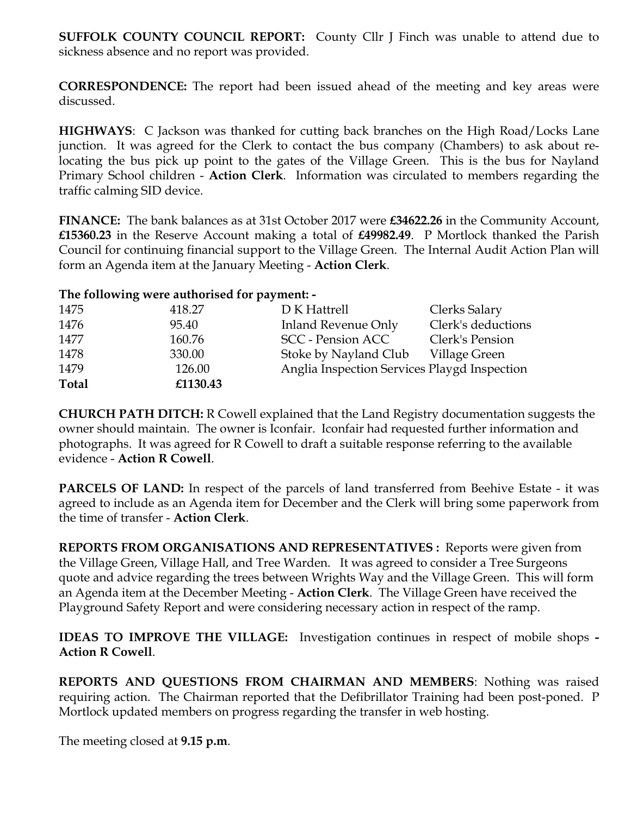**SUFFOLK COUNTY COUNCIL REPORT:** County Cllr J Finch was unable to attend due to sickness absence and no report was provided.

**CORRESPONDENCE:** The report had been issued ahead of the meeting and key areas were discussed.

**HIGHWAYS**: C Jackson was thanked for cutting back branches on the High Road/Locks Lane junction. It was agreed for the Clerk to contact the bus company (Chambers) to ask about relocating the bus pick up point to the gates of the Village Green. This is the bus for Nayland Primary School children - **Action Clerk**. Information was circulated to members regarding the traffic calming SID device.

**FINANCE:** The bank balances as at 31st October 2017 were **£34622.26** in the Community Account, **£15360.23** in the Reserve Account making a total of **£49982.49**. P Mortlock thanked the Parish Council for continuing financial support to the Village Green. The Internal Audit Action Plan will form an Agenda item at the January Meeting - **Action Clerk**.

## **The following were authorised for payment: -**

| 1475         | 418.27   | D K Hattrell                                 | Clerks Salary      |
|--------------|----------|----------------------------------------------|--------------------|
| 1476         | 95.40    | Inland Revenue Only                          | Clerk's deductions |
| 1477         | 160.76   | <b>SCC</b> - Pension ACC                     | Clerk's Pension    |
| 1478         | 330.00   | Stoke by Nayland Club                        | Village Green      |
| 1479         | 126.00   | Anglia Inspection Services Playgd Inspection |                    |
| <b>Total</b> | £1130.43 |                                              |                    |

**CHURCH PATH DITCH:** R Cowell explained that the Land Registry documentation suggests the owner should maintain. The owner is Iconfair. Iconfair had requested further information and photographs. It was agreed for R Cowell to draft a suitable response referring to the available evidence - **Action R Cowell**.

**PARCELS OF LAND:** In respect of the parcels of land transferred from Beehive Estate - it was agreed to include as an Agenda item for December and the Clerk will bring some paperwork from the time of transfer - **Action Clerk**.

**REPORTS FROM ORGANISATIONS AND REPRESENTATIVES :** Reports were given from the Village Green, Village Hall, and Tree Warden. It was agreed to consider a Tree Surgeons quote and advice regarding the trees between Wrights Way and the Village Green. This will form an Agenda item at the December Meeting - **Action Clerk**. The Village Green have received the Playground Safety Report and were considering necessary action in respect of the ramp.

**IDEAS TO IMPROVE THE VILLAGE:** Investigation continues in respect of mobile shops **- Action R Cowell**.

**REPORTS AND QUESTIONS FROM CHAIRMAN AND MEMBERS**: Nothing was raised requiring action. The Chairman reported that the Defibrillator Training had been post-poned. P Mortlock updated members on progress regarding the transfer in web hosting.

The meeting closed at **9.15 p.m**.